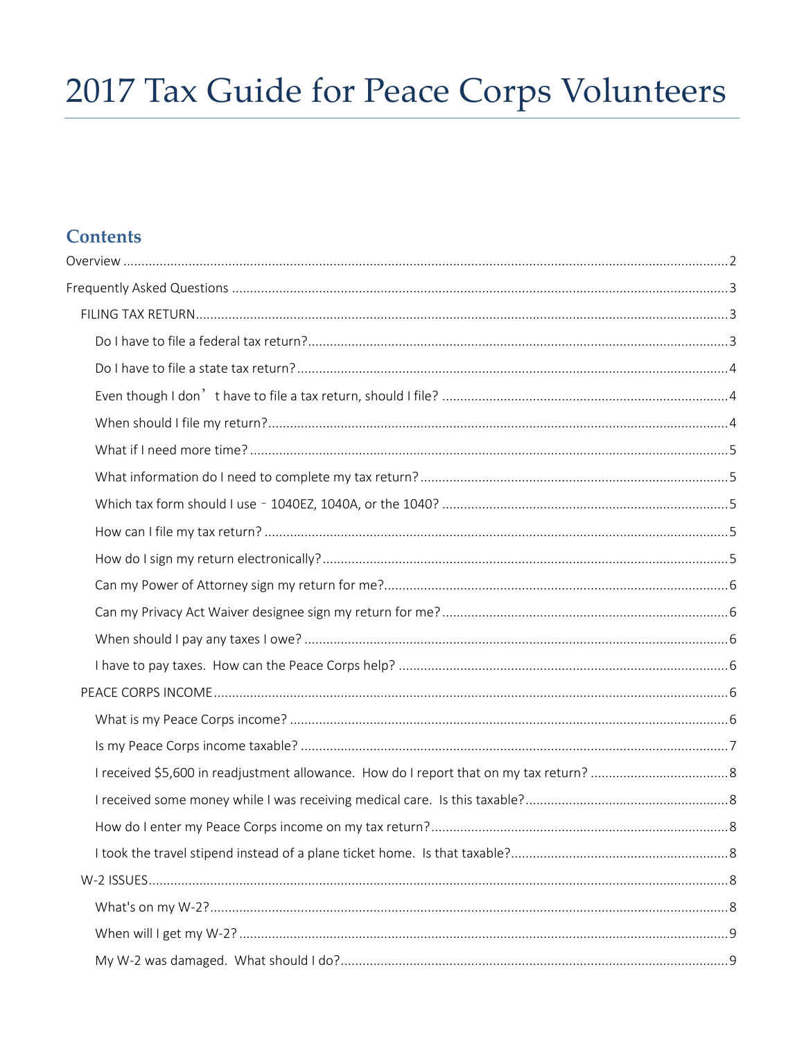# 2017 Tax Guide for Peace Corps Volunteers

# **Contents**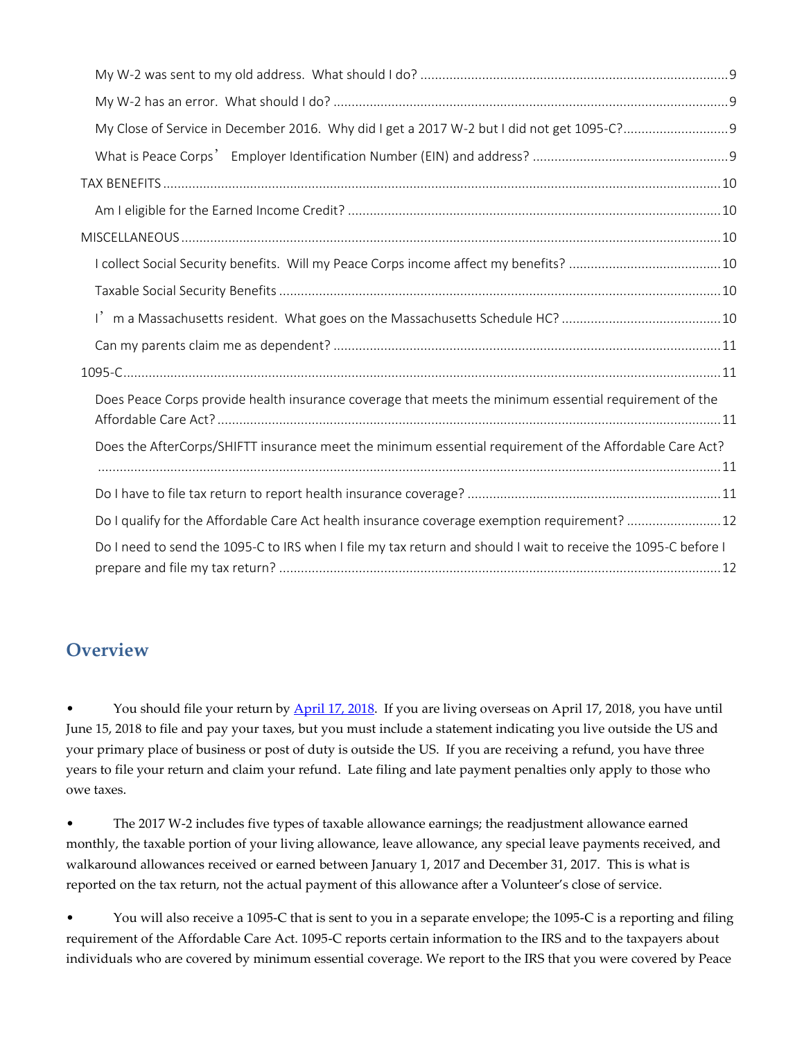| Does Peace Corps provide health insurance coverage that meets the minimum essential requirement of the         |  |
|----------------------------------------------------------------------------------------------------------------|--|
| Does the AfterCorps/SHIFTT insurance meet the minimum essential requirement of the Affordable Care Act?        |  |
|                                                                                                                |  |
| Do I qualify for the Affordable Care Act health insurance coverage exemption requirement? 12                   |  |
| Do I need to send the 1095-C to IRS when I file my tax return and should I wait to receive the 1095-C before I |  |

# <span id="page-1-0"></span>**Overview**

• You should file your return by [April 17, 2018.](https://www.irs.gov/newsroom/2018-tax-filing-season-begins-jan-29-tax-returns-due-april-17-help-available-for-taxpayers) If you are living overseas on April 17, 2018, you have until June 15, 2018 to file and pay your taxes, but you must include a statement indicating you live outside the US and your primary place of business or post of duty is outside the US. If you are receiving a refund, you have three years to file your return and claim your refund. Late filing and late payment penalties only apply to those who owe taxes.

• The 2017 W-2 includes five types of taxable allowance earnings; the readjustment allowance earned monthly, the taxable portion of your living allowance, leave allowance, any special leave payments received, and walkaround allowances received or earned between January 1, 2017 and December 31, 2017. This is what is reported on the tax return, not the actual payment of this allowance after a Volunteer's close of service.

• You will also receive a 1095-C that is sent to you in a separate envelope; the 1095-C is a reporting and filing requirement of the Affordable Care Act. 1095-C reports certain information to the IRS and to the taxpayers about individuals who are covered by minimum essential coverage. We report to the IRS that you were covered by Peace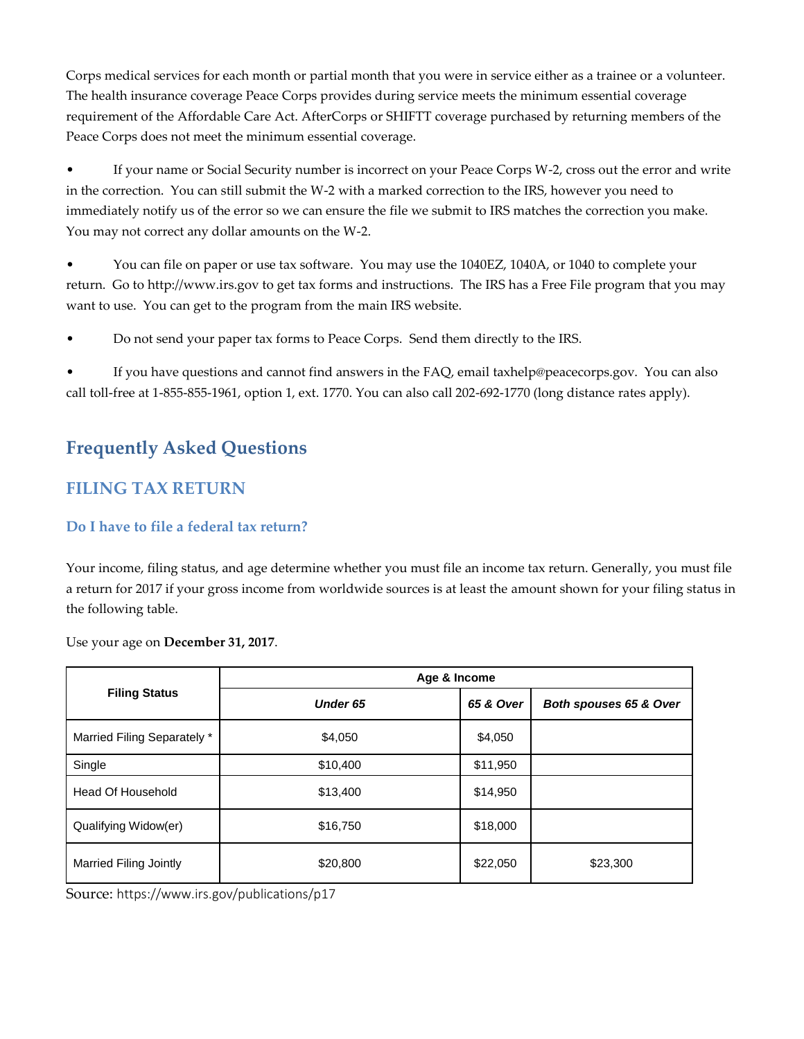Corps medical services for each month or partial month that you were in service either as a trainee or a volunteer. The health insurance coverage Peace Corps provides during service meets the minimum essential coverage requirement of the Affordable Care Act. AfterCorps or SHIFTT coverage purchased by returning members of the Peace Corps does not meet the minimum essential coverage.

• If your name or Social Security number is incorrect on your Peace Corps W-2, cross out the error and write in the correction. You can still submit the W-2 with a marked correction to the IRS, however you need to immediately notify us of the error so we can ensure the file we submit to IRS matches the correction you make. You may not correct any dollar amounts on the W-2.

• You can file on paper or use tax software. You may use the 1040EZ, 1040A, or 1040 to complete your return. Go to http://www.irs.gov to get tax forms and instructions. The IRS has a Free File program that you may want to use. You can get to the program from the main IRS website.

• Do not send your paper tax forms to Peace Corps. Send them directly to the IRS.

• If you have questions and cannot find answers in the FAQ, email taxhelp@peacecorps.gov. You can also call toll-free at 1-855-855-1961, option 1, ext. 1770. You can also call 202-692-1770 (long distance rates apply).

# <span id="page-2-0"></span>**Frequently Asked Questions**

# <span id="page-2-1"></span>**FILING TAX RETURN**

# <span id="page-2-2"></span>**Do I have to file a federal tax return?**

Your income, filing status, and age determine whether you must file an income tax return. Generally, you must file a return for 2017 if your gross income from worldwide sources is at least the amount shown for your filing status in the following table.

Use your age on **December 31, 2017**.

|                             | Age & Income    |           |                        |  |
|-----------------------------|-----------------|-----------|------------------------|--|
| <b>Filing Status</b>        | <b>Under 65</b> | 65 & Over | Both spouses 65 & Over |  |
| Married Filing Separately * | \$4,050         | \$4,050   |                        |  |
| Single                      | \$10,400        | \$11,950  |                        |  |
| Head Of Household           | \$13,400        | \$14,950  |                        |  |
| Qualifying Widow(er)        | \$16,750        | \$18,000  |                        |  |
| Married Filing Jointly      | \$20,800        | \$22,050  | \$23,300               |  |

Source: https://www.irs.gov/publications/p17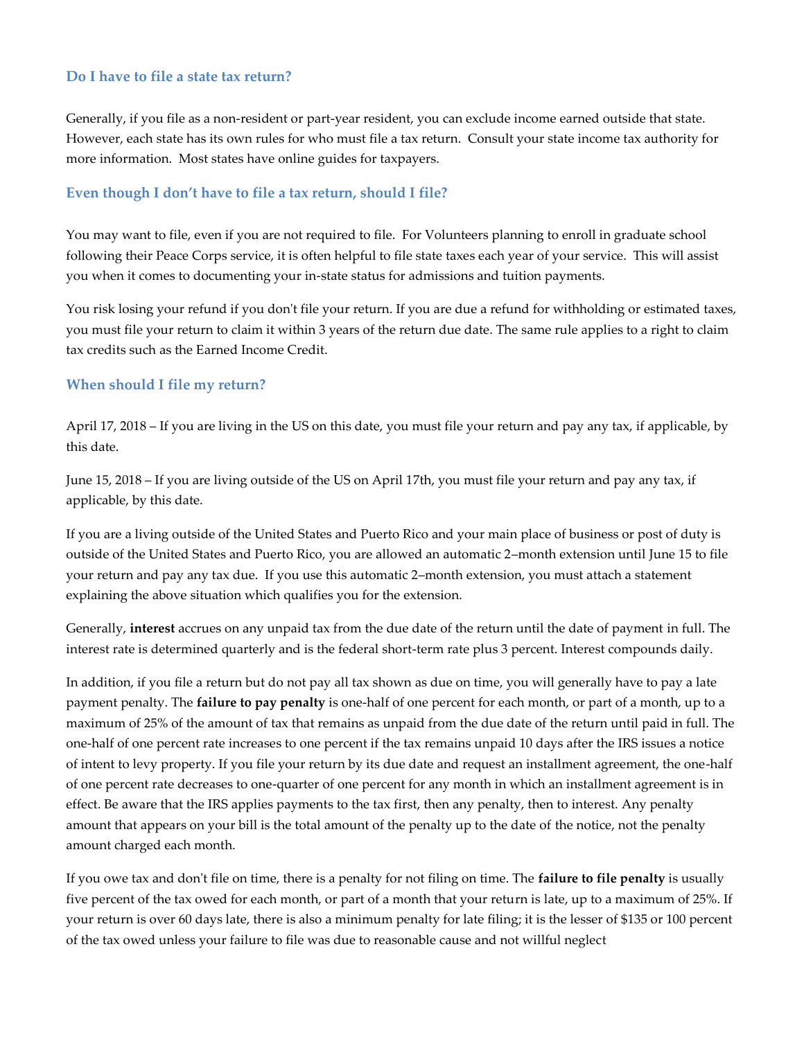## <span id="page-3-0"></span>**Do I have to file a state tax return?**

Generally, if you file as a non-resident or part-year resident, you can exclude income earned outside that state. However, each state has its own rules for who must file a tax return. Consult your state income tax authority for more information. Most states have online guides for taxpayers.

#### <span id="page-3-1"></span>**Even though I don't have to file a tax return, should I file?**

You may want to file, even if you are not required to file. For Volunteers planning to enroll in graduate school following their Peace Corps service, it is often helpful to file state taxes each year of your service. This will assist you when it comes to documenting your in-state status for admissions and tuition payments.

You risk losing your refund if you don't file your return. If you are due a refund for withholding or estimated taxes, you must file your return to claim it within 3 years of the return due date. The same rule applies to a right to claim tax credits such as the Earned Income Credit.

## <span id="page-3-2"></span>**When should I file my return?**

April 17, 2018 – If you are living in the US on this date, you must file your return and pay any tax, if applicable, by this date.

June 15, 2018 – If you are living outside of the US on April 17th, you must file your return and pay any tax, if applicable, by this date.

If you are a living outside of the United States and Puerto Rico and your main place of business or post of duty is outside of the United States and Puerto Rico, you are allowed an automatic 2–month extension until June 15 to file your return and pay any tax due. If you use this automatic 2–month extension, you must attach a statement explaining the above situation which qualifies you for the extension.

Generally, **interest** accrues on any unpaid tax from the due date of the return until the date of payment in full. The interest rate is determined quarterly and is the federal short-term rate plus 3 percent. Interest compounds daily.

In addition, if you file a return but do not pay all tax shown as due on time, you will generally have to pay a late payment penalty. The **failure to pay penalty** is one-half of one percent for each month, or part of a month, up to a maximum of 25% of the amount of tax that remains as unpaid from the due date of the return until paid in full. The one-half of one percent rate increases to one percent if the tax remains unpaid 10 days after the IRS issues a notice of intent to levy property. If you file your return by its due date and request an installment agreement, the one-half of one percent rate decreases to one-quarter of one percent for any month in which an installment agreement is in effect. Be aware that the IRS applies payments to the tax first, then any penalty, then to interest. Any penalty amount that appears on your bill is the total amount of the penalty up to the date of the notice, not the penalty amount charged each month.

If you owe tax and don't file on time, there is a penalty for not filing on time. The **failure to file penalty** is usually five percent of the tax owed for each month, or part of a month that your return is late, up to a maximum of 25%. If your return is over 60 days late, there is also a minimum penalty for late filing; it is the lesser of \$135 or 100 percent of the tax owed unless your failure to file was due to reasonable cause and not willful neglect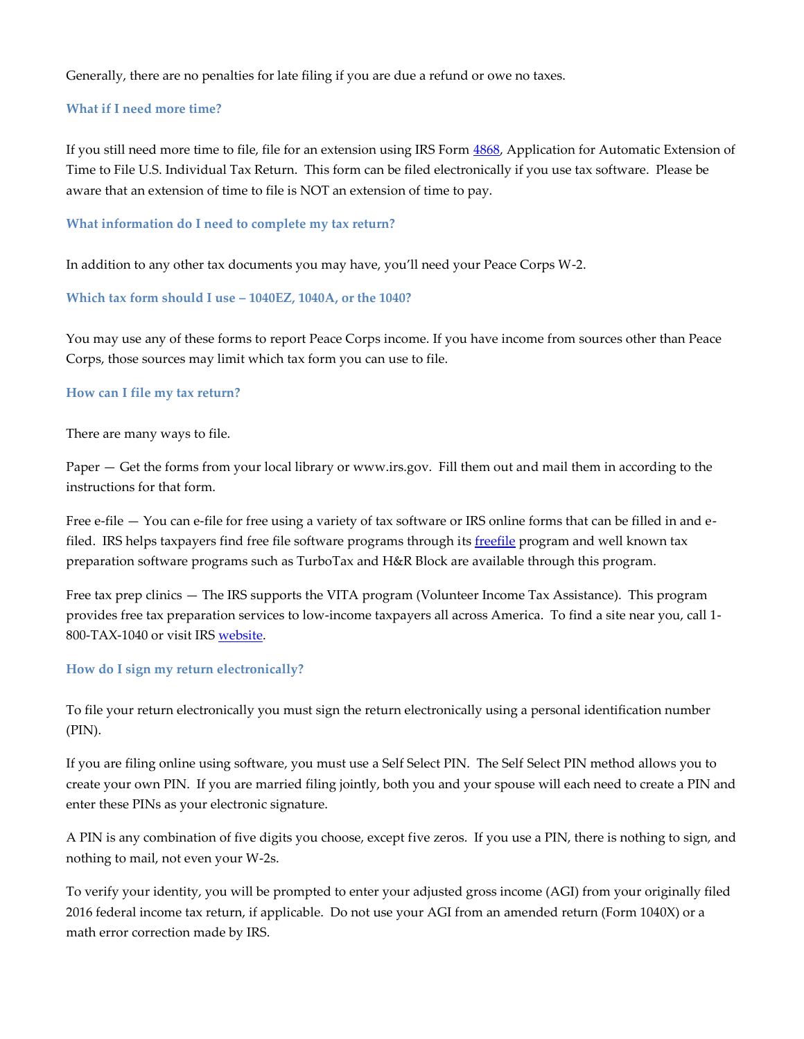Generally, there are no penalties for late filing if you are due a refund or owe no taxes.

#### <span id="page-4-0"></span>**What if I need more time?**

If you still need more time to file, file for an extension using IRS Form [4868,](https://www.irs.gov/pub/irs-pdf/f4868.pdf) Application for Automatic Extension of Time to File U.S. Individual Tax Return. This form can be filed electronically if you use tax software. Please be aware that an extension of time to file is NOT an extension of time to pay.

<span id="page-4-1"></span>**What information do I need to complete my tax return?**

In addition to any other tax documents you may have, you'll need your Peace Corps W-2.

<span id="page-4-2"></span>**Which tax form should I use – 1040EZ, 1040A, or the 1040?**

You may use any of these forms to report Peace Corps income. If you have income from sources other than Peace Corps, those sources may limit which tax form you can use to file.

#### <span id="page-4-3"></span>**How can I file my tax return?**

There are many ways to file.

Paper — Get the forms from your local library or www.irs.gov. Fill them out and mail them in according to the instructions for that form.

Free e-file — You can e-file for free using a variety of tax software or IRS online forms that can be filled in and efiled. IRS helps taxpayers find free file software programs through its *freefile* program and well known tax preparation software programs such as TurboTax and H&R Block are available through this program.

Free tax prep clinics — The IRS supports the VITA program (Volunteer Income Tax Assistance). This program provides free tax preparation services to low-income taxpayers all across America. To find a site near you, call 1- 800-TAX-1040 or visit IRS [website.](http://irs.treasury.gov/freetaxprep/)

#### <span id="page-4-4"></span>**How do I sign my return electronically?**

To file your return electronically you must sign the return electronically using a personal identification number (PIN).

If you are filing online using software, you must use a Self Select PIN. The Self Select PIN method allows you to create your own PIN. If you are married filing jointly, both you and your spouse will each need to create a PIN and enter these PINs as your electronic signature.

A PIN is any combination of five digits you choose, except five zeros. If you use a PIN, there is nothing to sign, and nothing to mail, not even your W-2s.

To verify your identity, you will be prompted to enter your adjusted gross income (AGI) from your originally filed 2016 federal income tax return, if applicable. Do not use your AGI from an amended return (Form 1040X) or a math error correction made by IRS.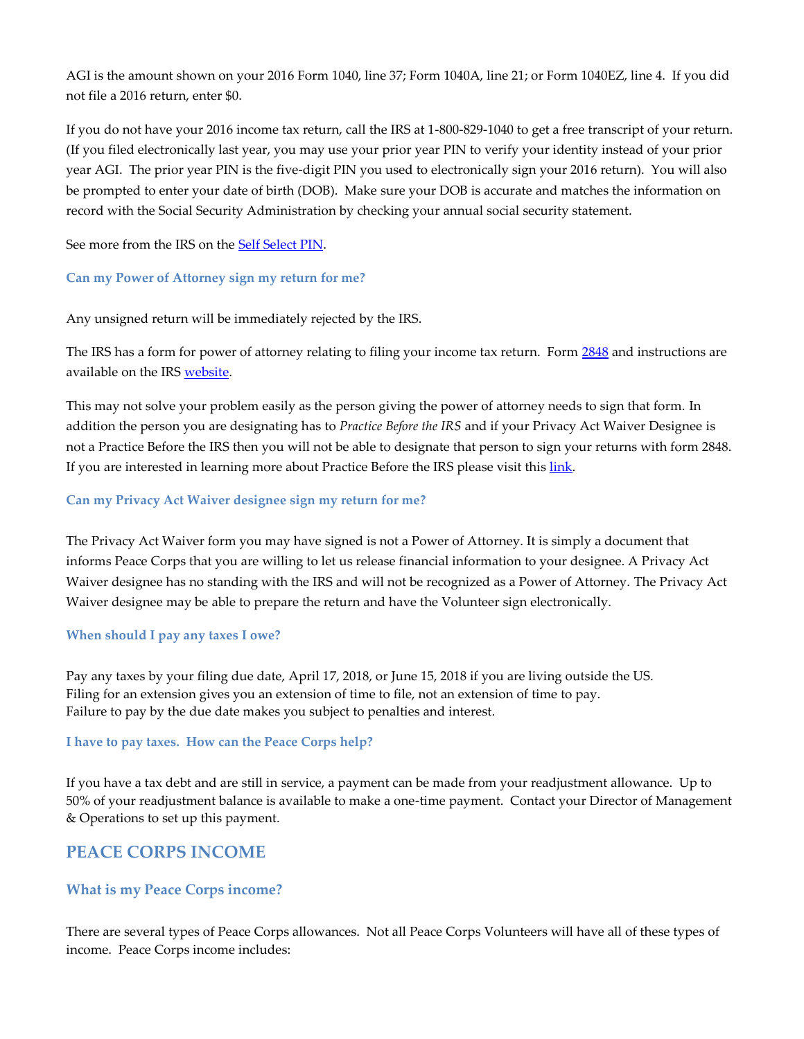AGI is the amount shown on your 2016 Form 1040, line 37; Form 1040A, line 21; or Form 1040EZ, line 4. If you did not file a 2016 return, enter \$0.

If you do not have your 2016 income tax return, call the IRS at 1-800-829-1040 to get a free transcript of your return. (If you filed electronically last year, you may use your prior year PIN to verify your identity instead of your prior year AGI. The prior year PIN is the five-digit PIN you used to electronically sign your 2016 return). You will also be prompted to enter your date of birth (DOB). Make sure your DOB is accurate and matches the information on record with the Social Security Administration by checking your annual social security statement.

See more from the IRS on the **Self Select PIN**.

## <span id="page-5-0"></span>**Can my Power of Attorney sign my return for me?**

Any unsigned return will be immediately rejected by the IRS.

The IRS has a form for power of attorney relating to filing your income tax return. Form [2848](https://www.irs.gov/uac/About-Form-2848) and instructions are available on the IRS [website.](https://www.irs.gov/uac/About-Form-2848)

This may not solve your problem easily as the person giving the power of attorney needs to sign that form. In addition the person you are designating has to *Practice Before the IRS* and if your Privacy Act Waiver Designee is not a Practice Before the IRS then you will not be able to designate that person to sign your returns with form 2848. If you are interested in learning more about Practice Before the IRS please visit this [link.](https://www.irs.gov/publications/p947/ar02.html#en_US_201410_publink1000148595)

## <span id="page-5-1"></span>**Can my Privacy Act Waiver designee sign my return for me?**

The Privacy Act Waiver form you may have signed is not a Power of Attorney. It is simply a document that informs Peace Corps that you are willing to let us release financial information to your designee. A Privacy Act Waiver designee has no standing with the IRS and will not be recognized as a Power of Attorney. The Privacy Act Waiver designee may be able to prepare the return and have the Volunteer sign electronically.

#### <span id="page-5-2"></span>**When should I pay any taxes I owe?**

Pay any taxes by your filing due date, April 17, 2018, or June 15, 2018 if you are living outside the US. Filing for an extension gives you an extension of time to file, not an extension of time to pay. Failure to pay by the due date makes you subject to penalties and interest.

#### <span id="page-5-3"></span>**I have to pay taxes. How can the Peace Corps help?**

If you have a tax debt and are still in service, a payment can be made from your readjustment allowance. Up to 50% of your readjustment balance is available to make a one-time payment. Contact your Director of Management & Operations to set up this payment.

# <span id="page-5-4"></span>**PEACE CORPS INCOME**

## <span id="page-5-5"></span>**What is my Peace Corps income?**

There are several types of Peace Corps allowances. Not all Peace Corps Volunteers will have all of these types of income. Peace Corps income includes: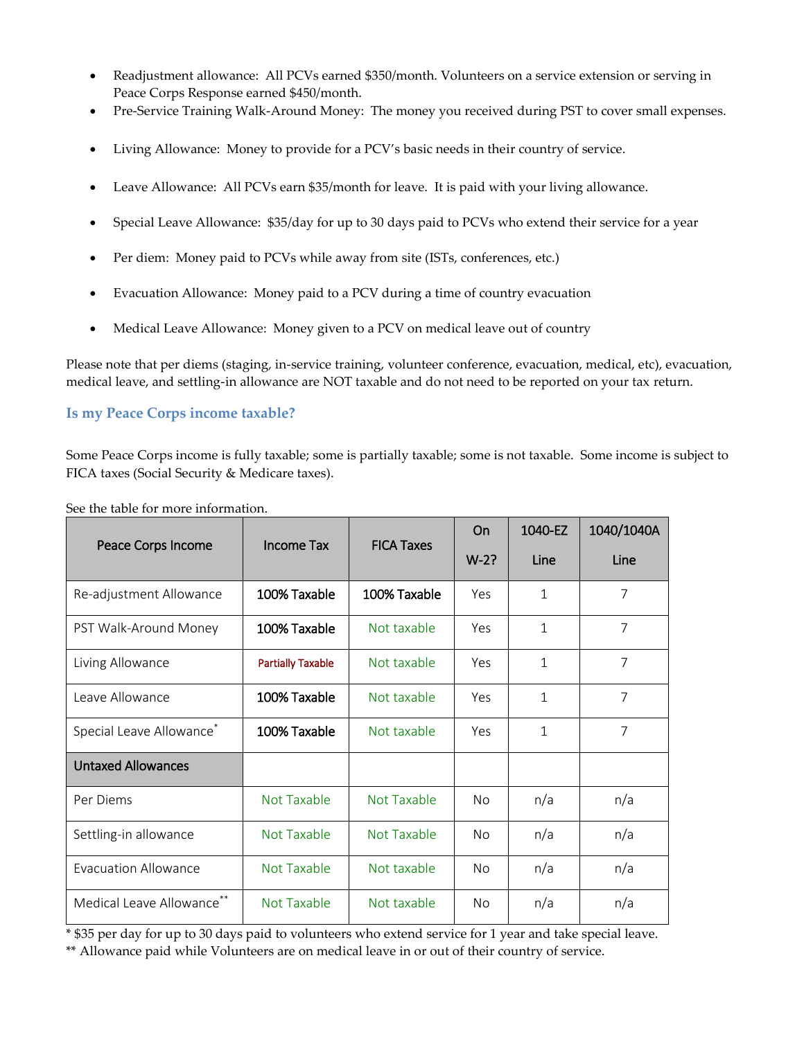- Readjustment allowance: All PCVs earned \$350/month. Volunteers on a service extension or serving in Peace Corps Response earned \$450/month.
- Pre-Service Training Walk-Around Money: The money you received during PST to cover small expenses.
- Living Allowance: Money to provide for a PCV's basic needs in their country of service.
- Leave Allowance: All PCVs earn \$35/month for leave. It is paid with your living allowance.
- Special Leave Allowance: \$35/day for up to 30 days paid to PCVs who extend their service for a year
- Per diem: Money paid to PCVs while away from site (ISTs, conferences, etc.)
- Evacuation Allowance: Money paid to a PCV during a time of country evacuation
- Medical Leave Allowance: Money given to a PCV on medical leave out of country

Please note that per diems (staging, in-service training, volunteer conference, evacuation, medical, etc), evacuation, medical leave, and settling-in allowance are NOT taxable and do not need to be reported on your tax return.

#### <span id="page-6-0"></span>**Is my Peace Corps income taxable?**

Some Peace Corps income is fully taxable; some is partially taxable; some is not taxable. Some income is subject to FICA taxes (Social Security & Medicare taxes).

|                                      | <b>Income Tax</b><br><b>FICA Taxes</b> | On           | 1040-EZ   | 1040/1040A   |                |
|--------------------------------------|----------------------------------------|--------------|-----------|--------------|----------------|
| Peace Corps Income                   |                                        |              | $W-2?$    | Line         | Line           |
| Re-adjustment Allowance              | 100% Taxable                           | 100% Taxable | Yes       | $\mathbf{1}$ | 7              |
| PST Walk-Around Money                | 100% Taxable                           | Not taxable  | Yes       | $\mathbf{1}$ | $\overline{7}$ |
| Living Allowance                     | <b>Partially Taxable</b>               | Not taxable  | Yes       | $\mathbf{1}$ | $\overline{7}$ |
| Leave Allowance                      | 100% Taxable                           | Not taxable  | Yes       | $\mathbf{1}$ | $\overline{7}$ |
| Special Leave Allowance <sup>*</sup> | 100% Taxable                           | Not taxable  | Yes       | $\mathbf{1}$ | $\overline{7}$ |
| <b>Untaxed Allowances</b>            |                                        |              |           |              |                |
| Per Diems                            | Not Taxable                            | Not Taxable  | No.       | n/a          | n/a            |
| Settling-in allowance                | Not Taxable                            | Not Taxable  | No.       | n/a          | n/a            |
| <b>Evacuation Allowance</b>          | Not Taxable                            | Not taxable  | <b>No</b> | n/a          | n/a            |
| Medical Leave Allowance**            | Not Taxable                            | Not taxable  | No.       | n/a          | n/a            |

See the table for more information.

\* \$35 per day for up to 30 days paid to volunteers who extend service for 1 year and take special leave.

\*\* Allowance paid while Volunteers are on medical leave in or out of their country of service.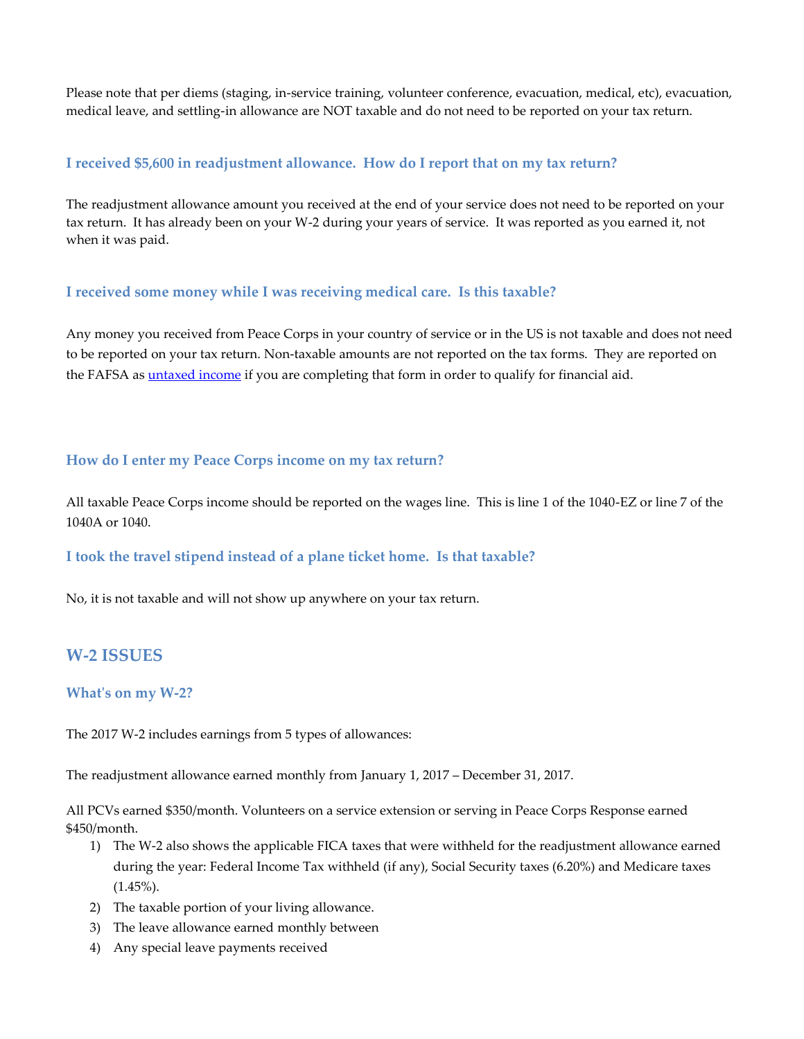Please note that per diems (staging, in-service training, volunteer conference, evacuation, medical, etc), evacuation, medical leave, and settling-in allowance are NOT taxable and do not need to be reported on your tax return.

## <span id="page-7-0"></span>**I received \$5,600 in readjustment allowance. How do I report that on my tax return?**

The readjustment allowance amount you received at the end of your service does not need to be reported on your tax return. It has already been on your W-2 during your years of service. It was reported as you earned it, not when it was paid.

# <span id="page-7-1"></span>**I received some money while I was receiving medical care. Is this taxable?**

Any money you received from Peace Corps in your country of service or in the US is not taxable and does not need to be reported on your tax return. Non-taxable amounts are not reported on the tax forms. They are reported on the FAFSA as *untaxed income* if you are completing that form in order to qualify for financial aid.

## <span id="page-7-2"></span>**How do I enter my Peace Corps income on my tax return?**

All taxable Peace Corps income should be reported on the wages line. This is line 1 of the 1040-EZ or line 7 of the 1040A or 1040.

## <span id="page-7-3"></span>**I took the travel stipend instead of a plane ticket home. Is that taxable?**

No, it is not taxable and will not show up anywhere on your tax return.

# <span id="page-7-4"></span>**W-2 ISSUES**

## <span id="page-7-5"></span>**What's on my W-2?**

The 2017 W-2 includes earnings from 5 types of allowances:

The readjustment allowance earned monthly from January 1, 2017 – December 31, 2017.

All PCVs earned \$350/month. Volunteers on a service extension or serving in Peace Corps Response earned \$450/month.

- 1) The W-2 also shows the applicable FICA taxes that were withheld for the readjustment allowance earned during the year: Federal Income Tax withheld (if any), Social Security taxes (6.20%) and Medicare taxes (1.45%).
- 2) The taxable portion of your living allowance.
- 3) The leave allowance earned monthly between
- 4) Any special leave payments received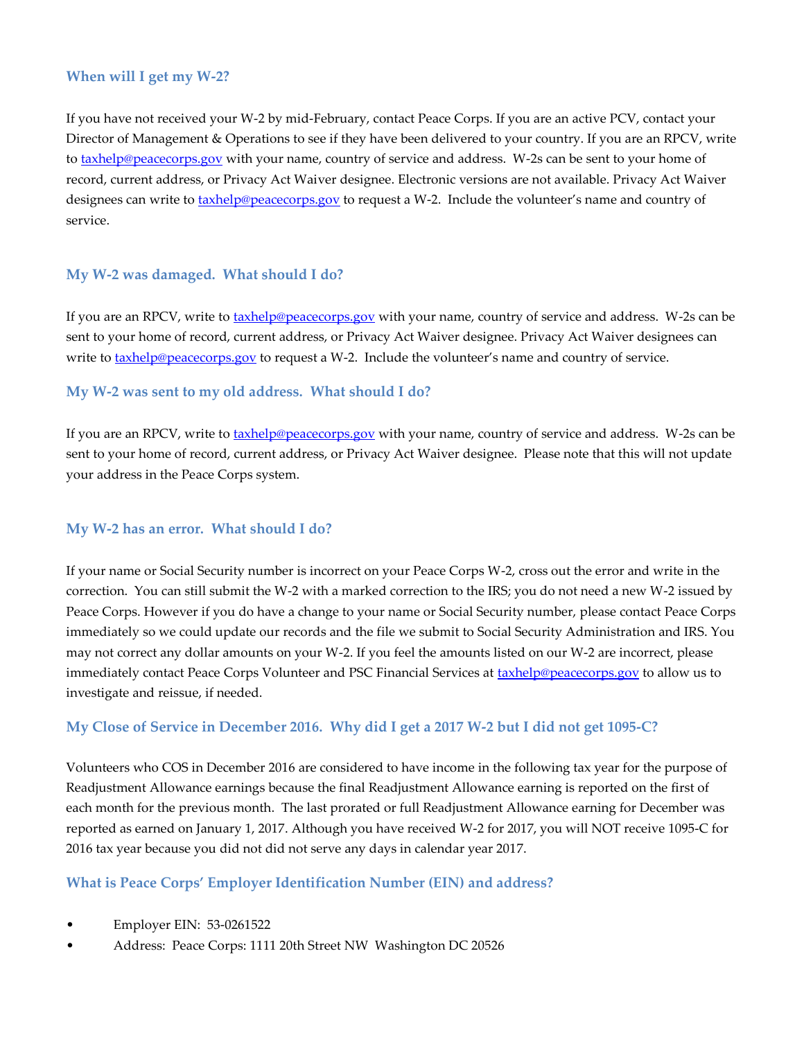## <span id="page-8-0"></span>**When will I get my W-2?**

If you have not received your W-2 by mid-February, contact Peace Corps. If you are an active PCV, contact your Director of Management & Operations to see if they have been delivered to your country. If you are an RPCV, write t[o taxhelp@peacecorps.gov](file:///C:/Users/ztamre/AppData/Local/Microsoft/Windows/Temporary%20Internet%20Files/Content.Outlook/OA2VTK96/taxhelp@peacecorps.gov) with your name, country of service and address. W-2s can be sent to your home of record, current address, or Privacy Act Waiver designee. Electronic versions are not available. Privacy Act Waiver designees can write to **taxhelp@peacecorps.gov** to request a W-2. Include the volunteer's name and country of service.

## <span id="page-8-1"></span>**My W-2 was damaged. What should I do?**

If you are an RPCV, write to **taxhelp@peacecorps.gov** with your name, country of service and address. W-2s can be sent to your home of record, current address, or Privacy Act Waiver designee. Privacy Act Waiver designees can write to **taxhelp@peacecorps.gov** to request a W-2. Include the volunteer's name and country of service.

#### <span id="page-8-2"></span>**My W-2 was sent to my old address. What should I do?**

If you are an RPCV, write t[o taxhelp@peacecorps.gov](file:///C:/Users/ztamre/AppData/Local/Microsoft/Windows/Temporary%20Internet%20Files/Content.Outlook/OA2VTK96/taxhelp@peacecorps.gov) with your name, country of service and address. W-2s can be sent to your home of record, current address, or Privacy Act Waiver designee. Please note that this will not update your address in the Peace Corps system.

## <span id="page-8-3"></span>**My W-2 has an error. What should I do?**

If your name or Social Security number is incorrect on your Peace Corps W-2, cross out the error and write in the correction. You can still submit the W-2 with a marked correction to the IRS; you do not need a new W-2 issued by Peace Corps. However if you do have a change to your name or Social Security number, please contact Peace Corps immediately so we could update our records and the file we submit to Social Security Administration and IRS. You may not correct any dollar amounts on your W-2. If you feel the amounts listed on our W-2 are incorrect, please immediately contact Peace Corps Volunteer and PSC Financial Services at [taxhelp@peacecorps.gov](file:///C:/Users/ztamre/AppData/Local/Microsoft/Windows/Temporary%20Internet%20Files/Content.Outlook/OA2VTK96/taxhelp@peacecorps.gov) to allow us to investigate and reissue, if needed.

#### <span id="page-8-4"></span>**My Close of Service in December 2016. Why did I get a 2017 W-2 but I did not get 1095-C?**

Volunteers who COS in December 2016 are considered to have income in the following tax year for the purpose of Readjustment Allowance earnings because the final Readjustment Allowance earning is reported on the first of each month for the previous month. The last prorated or full Readjustment Allowance earning for December was reported as earned on January 1, 2017. Although you have received W-2 for 2017, you will NOT receive 1095-C for 2016 tax year because you did not did not serve any days in calendar year 2017.

#### <span id="page-8-5"></span>**What is Peace Corps' Employer Identification Number (EIN) and address?**

- Employer EIN: 53-0261522
- Address: Peace Corps: 1111 20th Street NW Washington DC 20526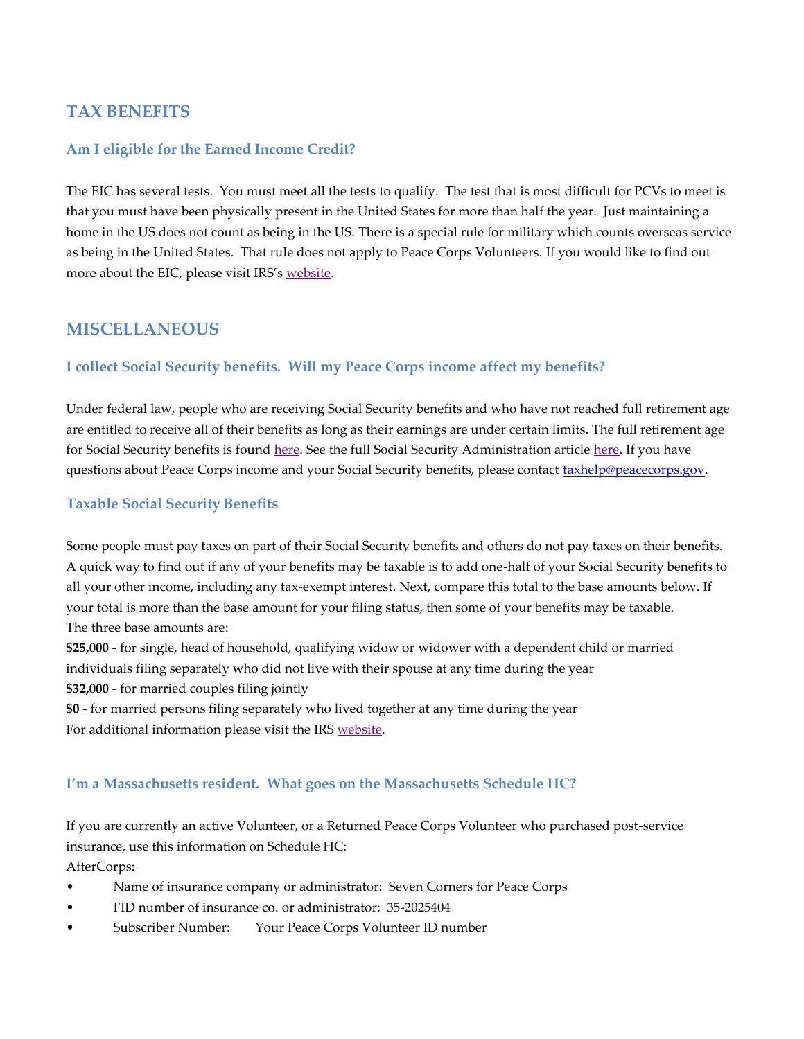# <span id="page-9-0"></span>**TAX BENEFITS**

#### <span id="page-9-1"></span>**Am I eligible for the Earned Income Credit?**

The EIC has several tests. You must meet all the tests to qualify. The test that is most difficult for PCVs to meet is that you must have been physically present in the United States for more than half the year. Just maintaining a home in the US does not count as being in the US. There is a special rule for military which counts overseas service as being in the United States. That rule does not apply to Peace Corps Volunteers. If you would like to find out more about the EIC, please visit IRS's [website.](https://www.irs.gov/publications/p596)

# <span id="page-9-2"></span>**MISCELLANEOUS**

## <span id="page-9-3"></span>**I collect Social Security benefits. Will my Peace Corps income affect my benefits?**

Under federal law, people who are receiving Social Security benefits and who have not reached full retirement age are entitled to receive all of their benefits as long as their earnings are under certain limits. The full retirement age for Social Security benefits is found [here.](https://faq.ssa.gov/link/portal/34011/34019/Article/3739/What-happens-if-I-work-and-get-Social-Security-retirement-benefits) See the full Social Security Administration article here. If you have questions about Peace Corps income and your Social Security benefits, please contact [taxhelp@peacecorps.gov.](mailto:taxhelp@peacecorps.gov)

#### <span id="page-9-4"></span>**Taxable Social Security Benefits**

Some people must pay taxes on part of their Social Security benefits and others do not pay taxes on their benefits. A quick way to find out if any of your benefits may be taxable is to add one-half of your Social Security benefits to all your other income, including any tax-exempt interest. Next, compare this total to the base amounts below. If your total is more than the base amount for your filing status, then some of your benefits may be taxable. The three base amounts are:

**\$25,000** - for single, head of household, qualifying widow or widower with a dependent child or married individuals filing separately who did not live with their spouse at any time during the year **\$32,000** - for married couples filing jointly

**\$0** - for married persons filing separately who lived together at any time during the year For additional information please visit the IRS [website.](https://www.irs.gov/uac/Newsroom/Are-Your-Social-Security-Benefits-Taxable)

#### <span id="page-9-5"></span>**I'm a Massachusetts resident. What goes on the Massachusetts Schedule HC?**

If you are currently an active Volunteer, or a Returned Peace Corps Volunteer who purchased post-service insurance, use this information on Schedule HC: AfterCorps:

- Name of insurance company or administrator: Seven Corners for Peace Corps
- FID number of insurance co. or administrator: 35-2025404
- Subscriber Number: Your Peace Corps Volunteer ID number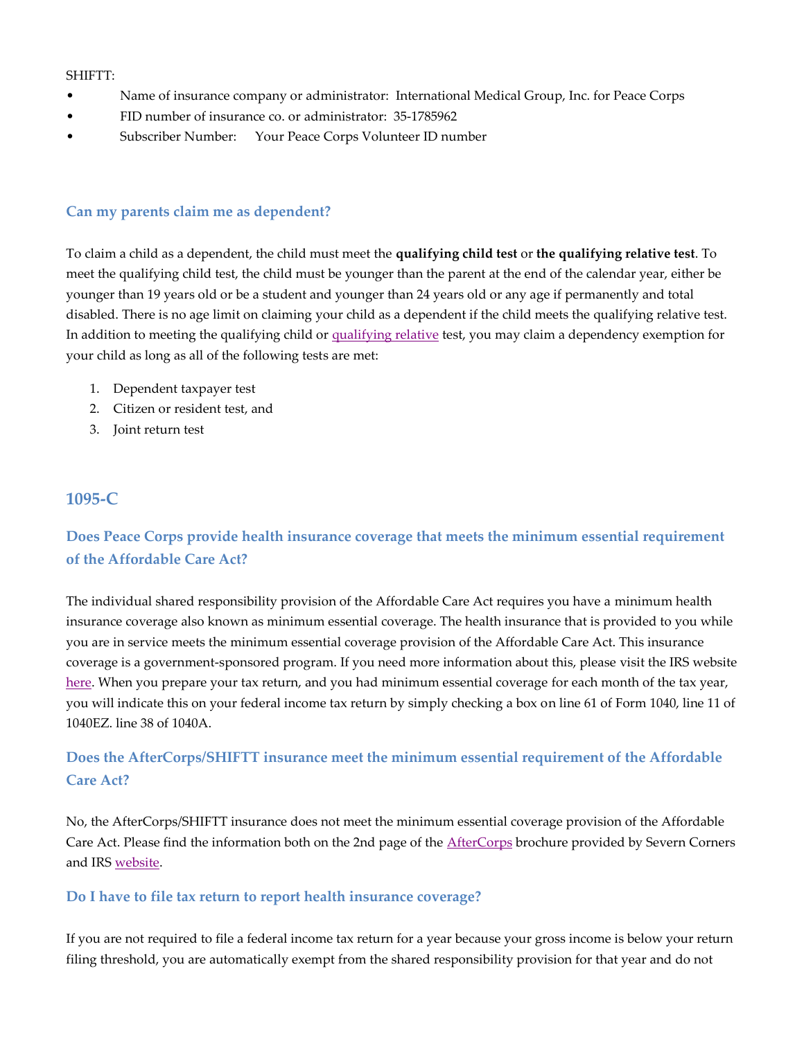#### SHIFTT:

- Name of insurance company or administrator: International Medical Group, Inc. for Peace Corps
- FID number of insurance co. or administrator: 35-1785962
- Subscriber Number: Your Peace Corps Volunteer ID number

#### <span id="page-10-0"></span>**Can my parents claim me as dependent?**

To claim a child as a dependent, the child must meet the **qualifying child test** or **the qualifying relative test**. To meet the qualifying child test, the child must be younger than the parent at the end of the calendar year, either be younger than 19 years old or be a student and younger than 24 years old or any age if permanently and total disabled. There is no age limit on claiming your child as a dependent if the child meets the qualifying relative test. In addition to meeting the qualifying child or [qualifying relative](https://apps.irs.gov/app/vita/content/globalmedia/table_2_dependency_exemption_relative_4012.pdf) test, you may claim a dependency exemption for your child as long as all of the following tests are met:

- 1. Dependent taxpayer test
- 2. Citizen or resident test, and
- 3. Joint return test

# <span id="page-10-1"></span>**1095-C**

# <span id="page-10-2"></span>**Does Peace Corps provide health insurance coverage that meets the minimum essential requirement of the Affordable Care Act?**

The individual shared responsibility provision of the Affordable Care Act requires you have a minimum health insurance coverage also known as minimum essential coverage. The health insurance that is provided to you while you are in service meets the minimum essential coverage provision of the Affordable Care Act. This insurance coverage is a government-sponsored program. If you need more information about this, please visit the IRS website [here.](https://www.irs.gov/Affordable-Care-Act/Individuals-and-Families/ACA-Individual-Shared-Responsibility-Provision-Minimum-Essential-Coverage) When you prepare your tax return, and you had minimum essential coverage for each month of the tax year, you will indicate this on your federal income tax return by simply checking a box on line 61 of Form 1040, line 11 of 1040EZ. line 38 of 1040A.

# <span id="page-10-3"></span>**Does the AfterCorps/SHIFTT insurance meet the minimum essential requirement of the Affordable Care Act?**

No, the AfterCorps/SHIFTT insurance does not meet the minimum essential coverage provision of the Affordable Care Act. Please find the information both on the 2nd page of the **[AfterCorps](https://www.sevencorners.com/docs/default-source/after-corps-documents/aftercorps_brochure.pdf?sfvrsn=2)** brochure provided by Severn Corners and IRS website.

#### <span id="page-10-4"></span>**Do I have to file tax return to report health insurance coverage?**

If you are not required to file a federal income tax return for a year because your gross income is below your return filing threshold, you are automatically exempt from the shared responsibility provision for that year and do not